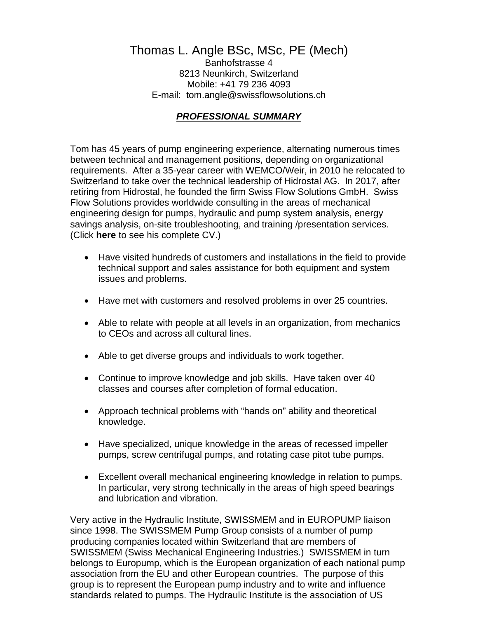# Thomas L. Angle BSc, MSc, PE (Mech)

Banhofstrasse 4 8213 Neunkirch, Switzerland Mobile: +41 79 236 4093 E-mail: [tom.angle@swissflowsolutions.ch](mailto:tom.angle@swissflowsolutions.ch)

#### *PROFESSIONAL SUMMARY*

Tom has 45 years of pump engineering experience, alternating numerous times between technical and management positions, depending on organizational requirements. After a 35-year career with WEMCO/Weir, in 2010 he relocated to Switzerland to take over the technical leadership of Hidrostal AG. In 2017, after retiring from Hidrostal, he founded the firm Swiss Flow Solutions GmbH. Swiss Flow Solutions provides worldwide consulting in the areas of mechanical engineering design for pumps, hydraulic and pump system analysis, energy savings analysis, on-site troubleshooting, and training /presentation services. (Click **here** to see his complete CV.)

- Have visited hundreds of customers and installations in the field to provide technical support and sales assistance for both equipment and system issues and problems.
- Have met with customers and resolved problems in over 25 countries.
- Able to relate with people at all levels in an organization, from mechanics to CEOs and across all cultural lines.
- Able to get diverse groups and individuals to work together.
- Continue to improve knowledge and job skills. Have taken over 40 classes and courses after completion of formal education.
- Approach technical problems with "hands on" ability and theoretical knowledge.
- Have specialized, unique knowledge in the areas of recessed impeller pumps, screw centrifugal pumps, and rotating case pitot tube pumps.
- Excellent overall mechanical engineering knowledge in relation to pumps. In particular, very strong technically in the areas of high speed bearings and lubrication and vibration.

Very active in the Hydraulic Institute, SWISSMEM and in EUROPUMP liaison since 1998. The SWISSMEM Pump Group consists of a number of pump producing companies located within Switzerland that are members of SWISSMEM (Swiss Mechanical Engineering Industries.) SWISSMEM in turn belongs to Europump, which is the European organization of each national pump association from the EU and other European countries. The purpose of this group is to represent the European pump industry and to write and influence standards related to pumps. The Hydraulic Institute is the association of US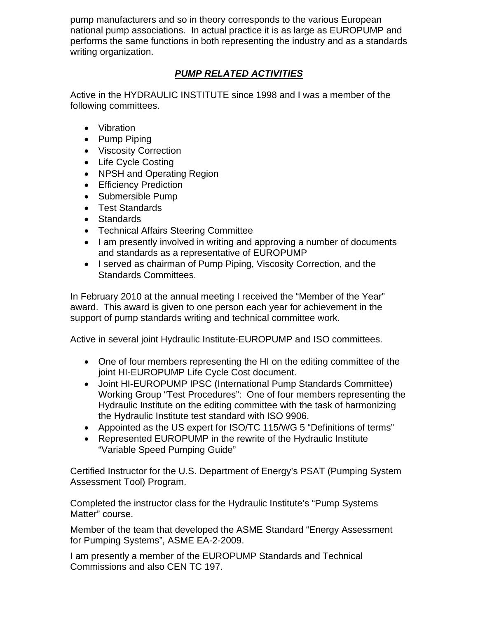pump manufacturers and so in theory corresponds to the various European national pump associations. In actual practice it is as large as EUROPUMP and performs the same functions in both representing the industry and as a standards writing organization.

# *PUMP RELATED ACTIVITIES*

Active in the HYDRAULIC INSTITUTE since 1998 and I was a member of the following committees.

- Vibration
- Pump Piping
- Viscosity Correction
- Life Cycle Costing
- NPSH and Operating Region
- Efficiency Prediction
- Submersible Pump
- Test Standards
- Standards
- Technical Affairs Steering Committee
- I am presently involved in writing and approving a number of documents and standards as a representative of EUROPUMP
- I served as chairman of Pump Piping, Viscosity Correction, and the Standards Committees.

In February 2010 at the annual meeting I received the "Member of the Year" award. This award is given to one person each year for achievement in the support of pump standards writing and technical committee work.

Active in several joint Hydraulic Institute-EUROPUMP and ISO committees.

- One of four members representing the HI on the editing committee of the joint HI-EUROPUMP Life Cycle Cost document.
- Joint HI-EUROPUMP IPSC (International Pump Standards Committee) Working Group "Test Procedures": One of four members representing the Hydraulic Institute on the editing committee with the task of harmonizing the Hydraulic Institute test standard with ISO 9906.
- Appointed as the US expert for ISO/TC 115/WG 5 "Definitions of terms"
- Represented EUROPUMP in the rewrite of the Hydraulic Institute "Variable Speed Pumping Guide"

Certified Instructor for the U.S. Department of Energy's PSAT (Pumping System Assessment Tool) Program.

Completed the instructor class for the Hydraulic Institute's "Pump Systems Matter" course.

Member of the team that developed the ASME Standard "Energy Assessment for Pumping Systems", ASME EA-2-2009.

I am presently a member of the EUROPUMP Standards and Technical Commissions and also CEN TC 197.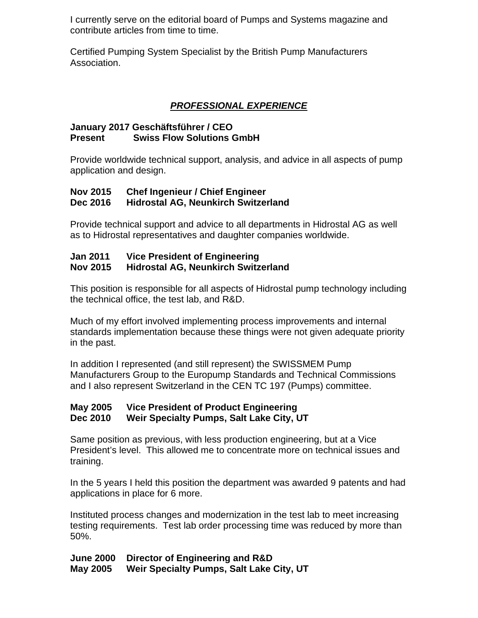I currently serve on the editorial board of Pumps and Systems magazine and contribute articles from time to time.

Certified Pumping System Specialist by the British Pump Manufacturers Association.

### *PROFESSIONAL EXPERIENCE*

#### **January 2017 Geschäftsführer / CEO Present Swiss Flow Solutions GmbH**

Provide worldwide technical support, analysis, and advice in all aspects of pump application and design.

#### **Nov 2015 Chef Ingenieur / Chief Engineer Dec 2016 Hidrostal AG, Neunkirch Switzerland**

Provide technical support and advice to all departments in Hidrostal AG as well as to Hidrostal representatives and daughter companies worldwide.

# **Jan 2011 Vice President of Engineering**

#### **Nov 2015 Hidrostal AG, Neunkirch Switzerland**

This position is responsible for all aspects of Hidrostal pump technology including the technical office, the test lab, and R&D.

Much of my effort involved implementing process improvements and internal standards implementation because these things were not given adequate priority in the past.

In addition I represented (and still represent) the SWISSMEM Pump Manufacturers Group to the Europump Standards and Technical Commissions and I also represent Switzerland in the CEN TC 197 (Pumps) committee.

#### **May 2005 Vice President of Product Engineering Dec 2010 Weir Specialty Pumps, Salt Lake City, UT**

Same position as previous, with less production engineering, but at a Vice President's level. This allowed me to concentrate more on technical issues and training.

In the 5 years I held this position the department was awarded 9 patents and had applications in place for 6 more.

Instituted process changes and modernization in the test lab to meet increasing testing requirements. Test lab order processing time was reduced by more than 50%.

**June 2000 Director of Engineering and R&D May 2005 Weir Specialty Pumps, Salt Lake City, UT**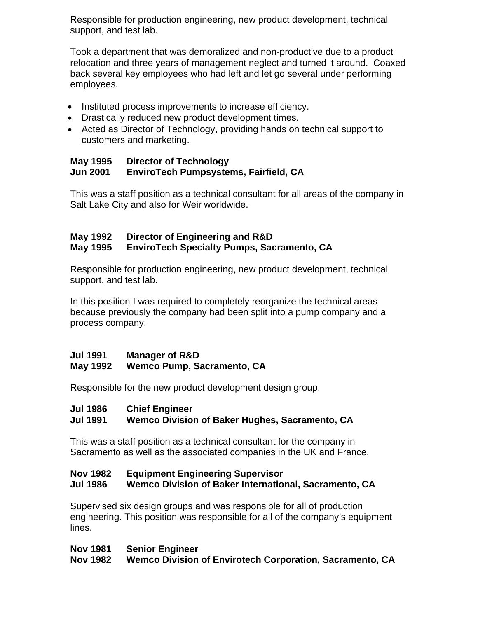Responsible for production engineering, new product development, technical support, and test lab.

Took a department that was demoralized and non-productive due to a product relocation and three years of management neglect and turned it around. Coaxed back several key employees who had left and let go several under performing employees.

- Instituted process improvements to increase efficiency.
- Drastically reduced new product development times.
- Acted as Director of Technology, providing hands on technical support to customers and marketing.

#### **May 1995 Director of Technology Jun 2001 EnviroTech Pumpsystems, Fairfield, CA**

This was a staff position as a technical consultant for all areas of the company in Salt Lake City and also for Weir worldwide.

#### **May 1992 Director of Engineering and R&D May 1995 EnviroTech Specialty Pumps, Sacramento, CA**

Responsible for production engineering, new product development, technical support, and test lab.

In this position I was required to completely reorganize the technical areas because previously the company had been split into a pump company and a process company.

#### **Jul 1991 Manager of R&D**

#### **May 1992 Wemco Pump, Sacramento, CA**

Responsible for the new product development design group.

#### **Jul 1986 Chief Engineer**

#### **Jul 1991 Wemco Division of Baker Hughes, Sacramento, CA**

This was a staff position as a technical consultant for the company in Sacramento as well as the associated companies in the UK and France.

#### **Nov 1982 Equipment Engineering Supervisor Jul 1986 Wemco Division of Baker International, Sacramento, CA**

Supervised six design groups and was responsible for all of production engineering. This position was responsible for all of the company's equipment lines.

#### **Nov 1981 Senior Engineer**

**Nov 1982 Wemco Division of Envirotech Corporation, Sacramento, CA**